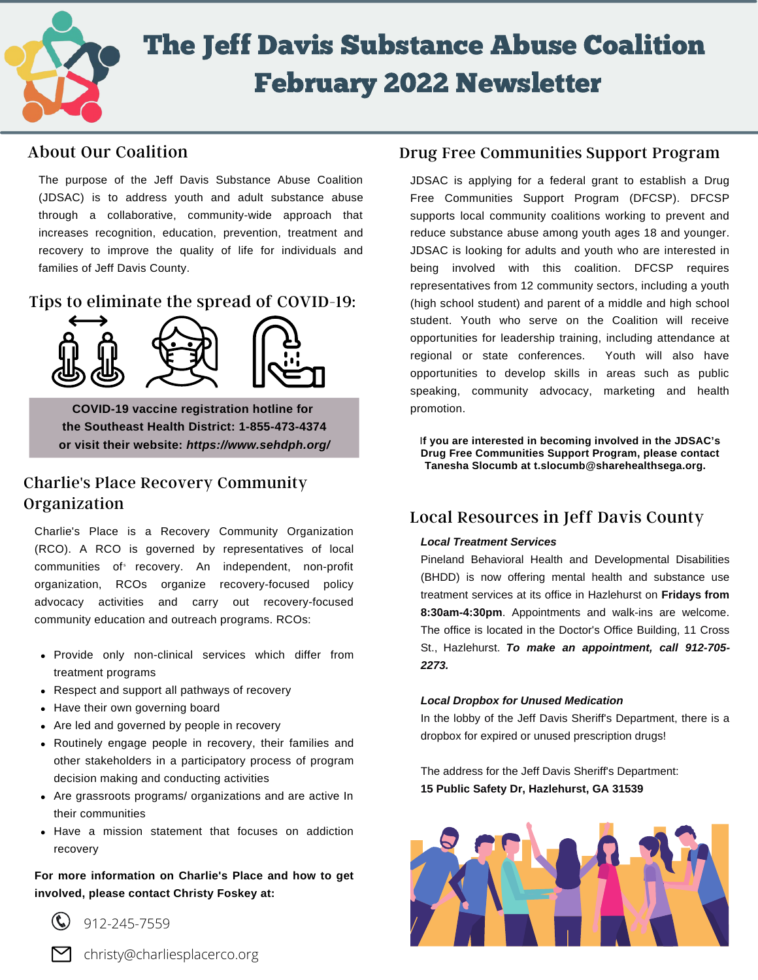

# The Jeff Davis Substance Abuse Coalition February 2022 Newsletter

## About Our Coalition

The purpose of the Jeff Davis Substance Abuse Coalition (JDSAC) is to address youth and adult substance abuse through a collaborative, community-wide approach that increases recognition, education, prevention, treatment and recovery to improve the quality of life for individuals and families of Jeff Davis County.

Tips to eliminate the spread of COVID-19:



**COVID-19 vaccine registration hotline for the Southeast Health District: 1-855-473-4374 or visit their website:** *https://www.sehdph.org/*

## Charlie's Place Recovery Community Organization

communities of recovery. An independent, non-profit Charlie's Place is a Recovery Community Organization (RCO). A RCO is governed by representatives of local organization, RCOs organize recovery-focused policy advocacy activities and carry out recovery-focused community education and outreach programs. RCOs:

- Provide only non-clinical services which differ from treatment programs
- Respect and support all pathways of recovery
- Have their own governing board
- Are led and governed by people in recovery
- Routinely engage people in recovery, their families and other stakeholders in a participatory process of program decision making and conducting activities
- Are grassroots programs/ organizations and are active In their communities
- Have a mission statement that focuses on addiction recovery

**For more information on Charlie's Place and how to get involved, please contact Christy Foskey at:**

912-245-7559

christy@charliesplacerco.org

### Drug Free Communities Support Program

JDSAC is applying for a federal grant to establish a Drug Free Communities Support Program (DFCSP). DFCSP supports local community coalitions working to prevent and reduce substance abuse among youth ages 18 and younger. JDSAC is looking for adults and youth who are interested in being involved with this coalition. DFCSP requires representatives from 12 community sectors, including a youth (high school student) and parent of a middle and high school student. Youth who serve on the Coalition will receive opportunities for leadership training, including attendance at regional or state conferences. Youth will also have opportunities to develop skills in areas such as public speaking, community advocacy, marketing and health promotion.

I**f you are interested in becoming involved in the JDSAC's Drug Free Communities Support Program, please contact Tanesha Slocumb at t.slocumb@sharehealthsega.org.**

## Local Resources in Jeff Davis County

#### *Local Treatment Services*

Pineland Behavioral Health and Developmental Disabilities (BHDD) is now offering mental health and substance use treatment services at its office in Hazlehurst on **Fridays from 8:30am-4:30pm**. Appointments and walk-ins are welcome. The office is located in the Doctor's Office Building, 11 Cross St., Hazlehurst. *To make an appointment, call 912-705- 2273.*

#### *Local Dropbox for Unused Medication*

In the lobby of the Jeff Davis Sheriff's Department, there is a dropbox for expired or unused prescription drugs!

The address for the Jeff Davis Sheriff's Department: **15 Public Safety Dr, Hazlehurst, GA 31539**